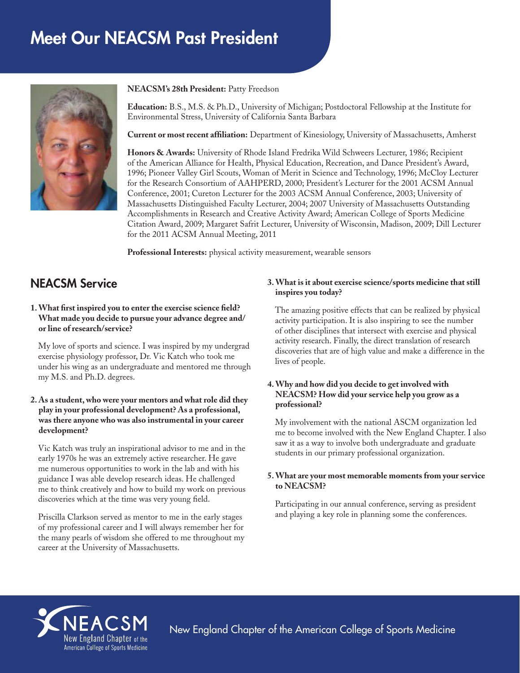# Meet Our NEACSM Past President



**NEACSM's 28th President:** Patty Freedson

**Education:** B.S., M.S. & Ph.D., University of Michigan; Postdoctoral Fellowship at the Institute for Environmental Stress, University of California Santa Barbara

**Current or most recent affiliation:** Department of Kinesiology, University of Massachusetts, Amherst

**Honors & Awards:** University of Rhode Island Fredrika Wild Schweers Lecturer, 1986; Recipient of the American Alliance for Health, Physical Education, Recreation, and Dance President's Award, 1996; Pioneer Valley Girl Scouts, Woman of Merit in Science and Technology, 1996; McCloy Lecturer for the Research Consortium of AAHPERD, 2000; President's Lecturer for the 2001 ACSM Annual Conference, 2001; Cureton Lecturer for the 2003 ACSM Annual Conference, 2003; University of Massachusetts Distinguished Faculty Lecturer, 2004; 2007 University of Massachusetts Outstanding Accomplishments in Research and Creative Activity Award; American College of Sports Medicine Citation Award, 2009; Margaret Safrit Lecturer, University of Wisconsin, Madison, 2009; Dill Lecturer for the 2011 ACSM Annual Meeting, 2011

**Professional Interests:** physical activity measurement, wearable sensors

# NEACSM Service

#### **1. What first inspired you to enter the exercise science field? What made you decide to pursue your advance degree and/ or line of research/service?**

My love of sports and science. I was inspired by my undergrad exercise physiology professor, Dr. Vic Katch who took me under his wing as an undergraduate and mentored me through my M.S. and Ph.D. degrees.

#### **2. As a student, who were your mentors and what role did they play in your professional development? As a professional, was there anyone who was also instrumental in your career development?**

Vic Katch was truly an inspirational advisor to me and in the early 1970s he was an extremely active researcher. He gave me numerous opportunities to work in the lab and with his guidance I was able develop research ideas. He challenged me to think creatively and how to build my work on previous discoveries which at the time was very young field.

Priscilla Clarkson served as mentor to me in the early stages of my professional career and I will always remember her for the many pearls of wisdom she offered to me throughout my career at the University of Massachusetts.

#### **3. What is it about exercise science/sports medicine that still inspires you today?**

The amazing positive effects that can be realized by physical activity participation. It is also inspiring to see the number of other disciplines that intersect with exercise and physical activity research. Finally, the direct translation of research discoveries that are of high value and make a difference in the lives of people.

# **4. Why and how did you decide to get involved with NEACSM? How did your service help you grow as a professional?**

My involvement with the national ASCM organization led me to become involved with the New England Chapter. I also saw it as a way to involve both undergraduate and graduate students in our primary professional organization.

#### **5. What are your most memorable moments from your service to NEACSM?**

Participating in our annual conference, serving as president and playing a key role in planning some the conferences.



New England Chapter of the American College of Sports Medicine